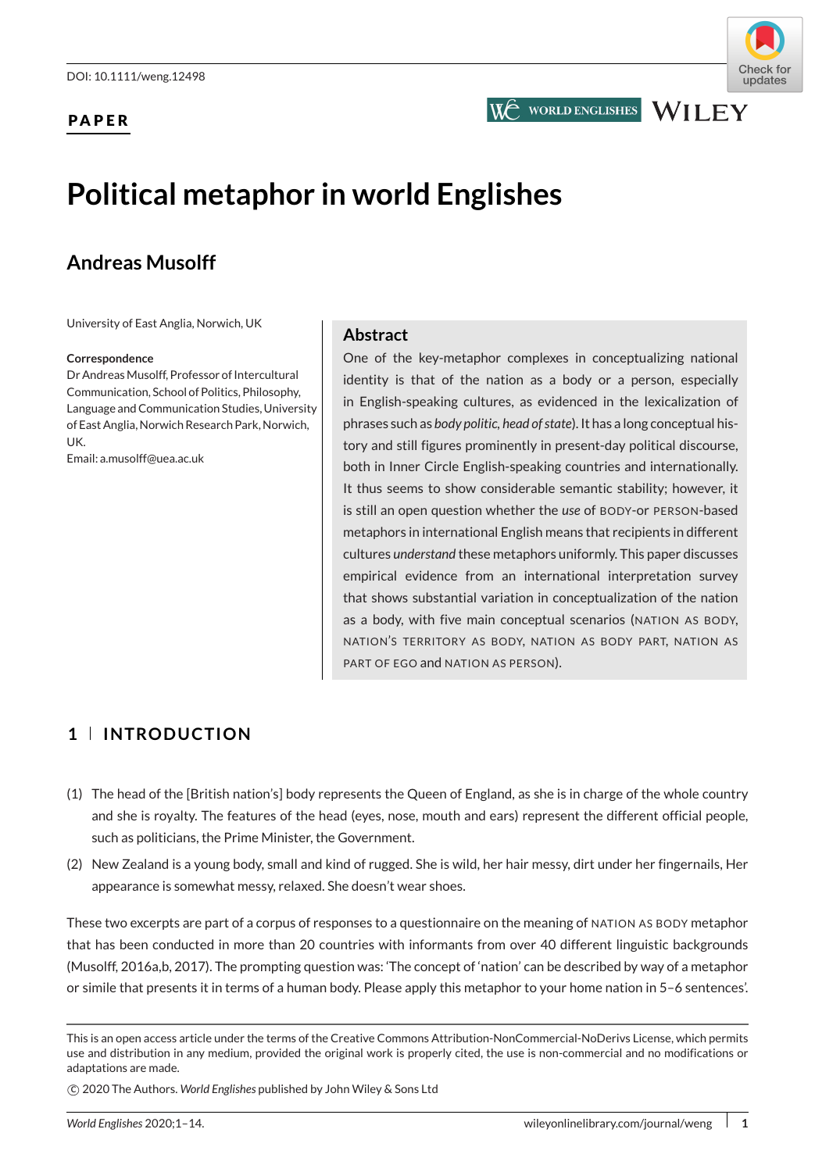## **PAPER**



WORLD ENGLISHES WH EY

# **Political metaphor in world Englishes**

## **Andreas Musolff**

University of East Anglia, Norwich, UK

#### **Correspondence**

Dr Andreas Musolff, Professor of Intercultural Communication, School of Politics, Philosophy, Language and Communication Studies, University of East Anglia, Norwich Research Park, Norwich, UK.

Email: a.musolff@uea.ac.uk

#### **Abstract**

One of the key-metaphor complexes in conceptualizing national identity is that of the nation as a body or a person, especially in English-speaking cultures, as evidenced in the lexicalization of phrases such as *body politic, head of state*). It has a long conceptual history and still figures prominently in present-day political discourse, both in Inner Circle English-speaking countries and internationally. It thus seems to show considerable semantic stability; however, it is still an open question whether the *use* of BODY-or PERSON-based metaphors in international English means that recipients in different cultures *understand* these metaphors uniformly. This paper discusses empirical evidence from an international interpretation survey that shows substantial variation in conceptualization of the nation as a body, with five main conceptual scenarios (NATION AS BODY, NATION'S TERRITORY AS BODY, NATION AS BODY PART, NATION AS PART OF EGO and NATION AS PERSON).

## **1 INTRODUCTION**

- (1) The head of the [British nation's] body represents the Queen of England, as she is in charge of the whole country and she is royalty. The features of the head (eyes, nose, mouth and ears) represent the different official people, such as politicians, the Prime Minister, the Government.
- (2) New Zealand is a young body, small and kind of rugged. She is wild, her hair messy, dirt under her fingernails, Her appearance is somewhat messy, relaxed. She doesn't wear shoes.

These two excerpts are part of a corpus of responses to a questionnaire on the meaning of NATION AS BODY metaphor that has been conducted in more than 20 countries with informants from over 40 different linguistic backgrounds (Musolff, 2016a,b, 2017). The prompting question was: 'The concept of 'nation' can be described by way of a metaphor or simile that presents it in terms of a human body. Please apply this metaphor to your home nation in 5–6 sentences'.

This is an open access article under the terms of the [Creative Commons Attribution-NonCommercial-NoDerivs](http://creativecommons.org/licenses/by-nc-nd/4.0/) License, which permits use and distribution in any medium, provided the original work is properly cited, the use is non-commercial and no modifications or adaptations are made.

<sup>-</sup>c 2020 The Authors. *World Englishes* published by John Wiley & Sons Ltd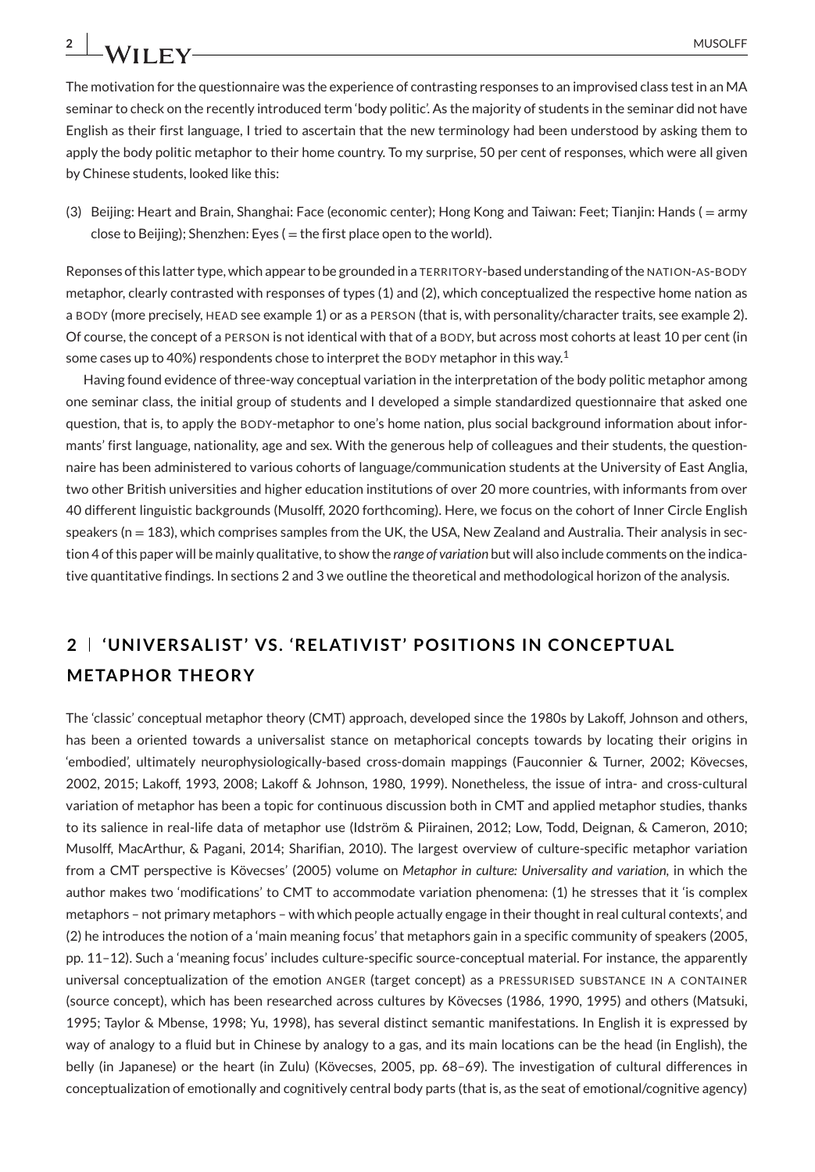The motivation for the questionnaire was the experience of contrasting responses to an improvised class test in an MA seminar to check on the recently introduced term 'body politic'. As the majority of students in the seminar did not have English as their first language, I tried to ascertain that the new terminology had been understood by asking them to apply the body politic metaphor to their home country. To my surprise, 50 per cent of responses, which were all given by Chinese students, looked like this:

(3) Beijing: Heart and Brain, Shanghai: Face (economic center); Hong Kong and Taiwan: Feet; Tianjin: Hands ( = army close to Beijing); Shenzhen: Eyes  $($  = the first place open to the world).

Reponses of this latter type, which appear to be grounded in a TERRITORY-based understanding of the NATION-AS-BODY metaphor, clearly contrasted with responses of types (1) and (2), which conceptualized the respective home nation as a BODY (more precisely, HEAD see example 1) or as a PERSON (that is, with personality/character traits, see example 2). Of course, the concept of a PERSON is not identical with that of a BODY, but across most cohorts at least 10 per cent (in some cases up to 40%) respondents chose to interpret the BODY metaphor in this way.<sup>1</sup>

Having found evidence of three-way conceptual variation in the interpretation of the body politic metaphor among one seminar class, the initial group of students and I developed a simple standardized questionnaire that asked one question, that is, to apply the BODY-metaphor to one's home nation, plus social background information about informants' first language, nationality, age and sex. With the generous help of colleagues and their students, the questionnaire has been administered to various cohorts of language/communication students at the University of East Anglia, two other British universities and higher education institutions of over 20 more countries, with informants from over 40 different linguistic backgrounds (Musolff, 2020 forthcoming). Here, we focus on the cohort of Inner Circle English speakers ( $n = 183$ ), which comprises samples from the UK, the USA, New Zealand and Australia. Their analysis in section 4 of this paper will be mainly qualitative, to show the *range of variation* but will also include comments on the indicative quantitative findings. In sections 2 and 3 we outline the theoretical and methodological horizon of the analysis.

# **2 'UNIVERSALIST' VS. 'RELATIVIST' POSITIONS IN CONCEPTUAL METAPHOR THEORY**

The 'classic' conceptual metaphor theory (CMT) approach, developed since the 1980s by Lakoff, Johnson and others, has been a oriented towards a universalist stance on metaphorical concepts towards by locating their origins in 'embodied', ultimately neurophysiologically-based cross-domain mappings (Fauconnier & Turner, 2002; Kövecses, 2002, 2015; Lakoff, 1993, 2008; Lakoff & Johnson, 1980, 1999). Nonetheless, the issue of intra- and cross-cultural variation of metaphor has been a topic for continuous discussion both in CMT and applied metaphor studies, thanks to its salience in real-life data of metaphor use (Idström & Piirainen, 2012; Low, Todd, Deignan, & Cameron, 2010; Musolff, MacArthur, & Pagani, 2014; Sharifian, 2010). The largest overview of culture-specific metaphor variation from a CMT perspective is Kövecses' (2005) volume on *Metaphor in culture: Universality and variation,* in which the author makes two 'modifications' to CMT to accommodate variation phenomena: (1) he stresses that it 'is complex metaphors – not primary metaphors – with which people actually engage in their thought in real cultural contexts', and (2) he introduces the notion of a 'main meaning focus' that metaphors gain in a specific community of speakers (2005, pp. 11–12). Such a 'meaning focus' includes culture-specific source-conceptual material. For instance, the apparently universal conceptualization of the emotion ANGER (target concept) as a PRESSURISED SUBSTANCE IN A CONTAINER (source concept), which has been researched across cultures by Kövecses (1986, 1990, 1995) and others (Matsuki, 1995; Taylor & Mbense, 1998; Yu, 1998), has several distinct semantic manifestations. In English it is expressed by way of analogy to a fluid but in Chinese by analogy to a gas, and its main locations can be the head (in English), the belly (in Japanese) or the heart (in Zulu) (Kövecses, 2005, pp. 68–69). The investigation of cultural differences in conceptualization of emotionally and cognitively central body parts (that is, as the seat of emotional/cognitive agency)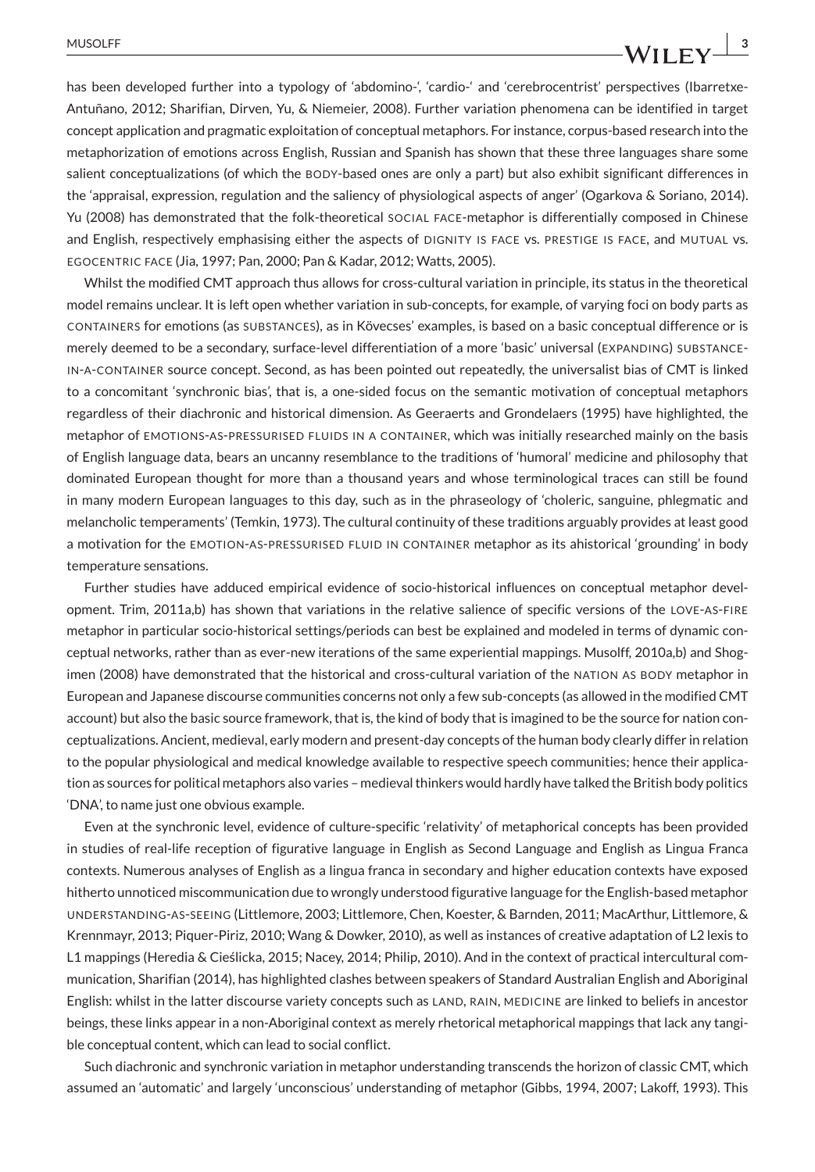has been developed further into a typology of 'abdomino-', 'cardio-' and 'cerebrocentrist' perspectives (Ibarretxe-Antuñano, 2012; Sharifian, Dirven, Yu, & Niemeier, 2008). Further variation phenomena can be identified in target concept application and pragmatic exploitation of conceptual metaphors. For instance, corpus-based research into the metaphorization of emotions across English, Russian and Spanish has shown that these three languages share some salient conceptualizations (of which the BODY-based ones are only a part) but also exhibit significant differences in the 'appraisal, expression, regulation and the saliency of physiological aspects of anger' (Ogarkova & Soriano, 2014). Yu (2008) has demonstrated that the folk-theoretical SOCIAL FACE-metaphor is differentially composed in Chinese and English, respectively emphasising either the aspects of DIGNITY IS FACE vs. PRESTIGE IS FACE, and MUTUAL vs. EGOCENTRIC FACE (Jia, 1997; Pan, 2000; Pan & Kadar, 2012; Watts, 2005).

Whilst the modified CMT approach thus allows for cross-cultural variation in principle, its status in the theoretical model remains unclear. It is left open whether variation in sub-concepts, for example, of varying foci on body parts as CONTAINERS for emotions (as SUBSTANCES), as in Kövecses' examples, is based on a basic conceptual difference or is merely deemed to be a secondary, surface-level differentiation of a more 'basic' universal (EXPANDING) SUBSTANCE-IN-A-CONTAINER source concept. Second, as has been pointed out repeatedly, the universalist bias of CMT is linked to a concomitant 'synchronic bias', that is, a one-sided focus on the semantic motivation of conceptual metaphors regardless of their diachronic and historical dimension. As Geeraerts and Grondelaers (1995) have highlighted, the metaphor of EMOTIONS-AS-PRESSURISED FLUIDS IN A CONTAINER, which was initially researched mainly on the basis of English language data, bears an uncanny resemblance to the traditions of 'humoral' medicine and philosophy that dominated European thought for more than a thousand years and whose terminological traces can still be found in many modern European languages to this day, such as in the phraseology of 'choleric, sanguine, phlegmatic and melancholic temperaments' (Temkin, 1973). The cultural continuity of these traditions arguably provides at least good a motivation for the EMOTION-AS-PRESSURISED FLUID IN CONTAINER metaphor as its ahistorical 'grounding' in body temperature sensations.

Further studies have adduced empirical evidence of socio-historical influences on conceptual metaphor development. Trim, 2011a,b) has shown that variations in the relative salience of specific versions of the LOVE-AS-FIRE metaphor in particular socio-historical settings/periods can best be explained and modeled in terms of dynamic conceptual networks, rather than as ever-new iterations of the same experiential mappings. Musolff, 2010a,b) and Shogimen (2008) have demonstrated that the historical and cross-cultural variation of the NATION AS BODY metaphor in European and Japanese discourse communities concerns not only a few sub-concepts (as allowed in the modified CMT account) but also the basic source framework, that is, the kind of body that is imagined to be the source for nation conceptualizations. Ancient, medieval, early modern and present-day concepts of the human body clearly differ in relation to the popular physiological and medical knowledge available to respective speech communities; hence their application as sources for political metaphors also varies – medieval thinkers would hardly have talked the British body politics 'DNA', to name just one obvious example.

Even at the synchronic level, evidence of culture-specific 'relativity' of metaphorical concepts has been provided in studies of real-life reception of figurative language in English as Second Language and English as Lingua Franca contexts. Numerous analyses of English as a lingua franca in secondary and higher education contexts have exposed hitherto unnoticed miscommunication due to wrongly understood figurative language for the English-based metaphor UNDERSTANDING-AS-SEEING (Littlemore, 2003; Littlemore, Chen, Koester, & Barnden, 2011; MacArthur, Littlemore, & Krennmayr, 2013; Piquer-Piriz, 2010; Wang & Dowker, 2010), as well as instances of creative adaptation of L2 lexis to L1 mappings (Heredia & Cieślicka, 2015; Nacey, 2014; Philip, 2010). And in the context of practical intercultural communication, Sharifian (2014), has highlighted clashes between speakers of Standard Australian English and Aboriginal English: whilst in the latter discourse variety concepts such as LAND, RAIN, MEDICINE are linked to beliefs in ancestor beings, these links appear in a non-Aboriginal context as merely rhetorical metaphorical mappings that lack any tangible conceptual content, which can lead to social conflict.

Such diachronic and synchronic variation in metaphor understanding transcends the horizon of classic CMT, which assumed an 'automatic' and largely 'unconscious' understanding of metaphor (Gibbs, 1994, 2007; Lakoff, 1993). This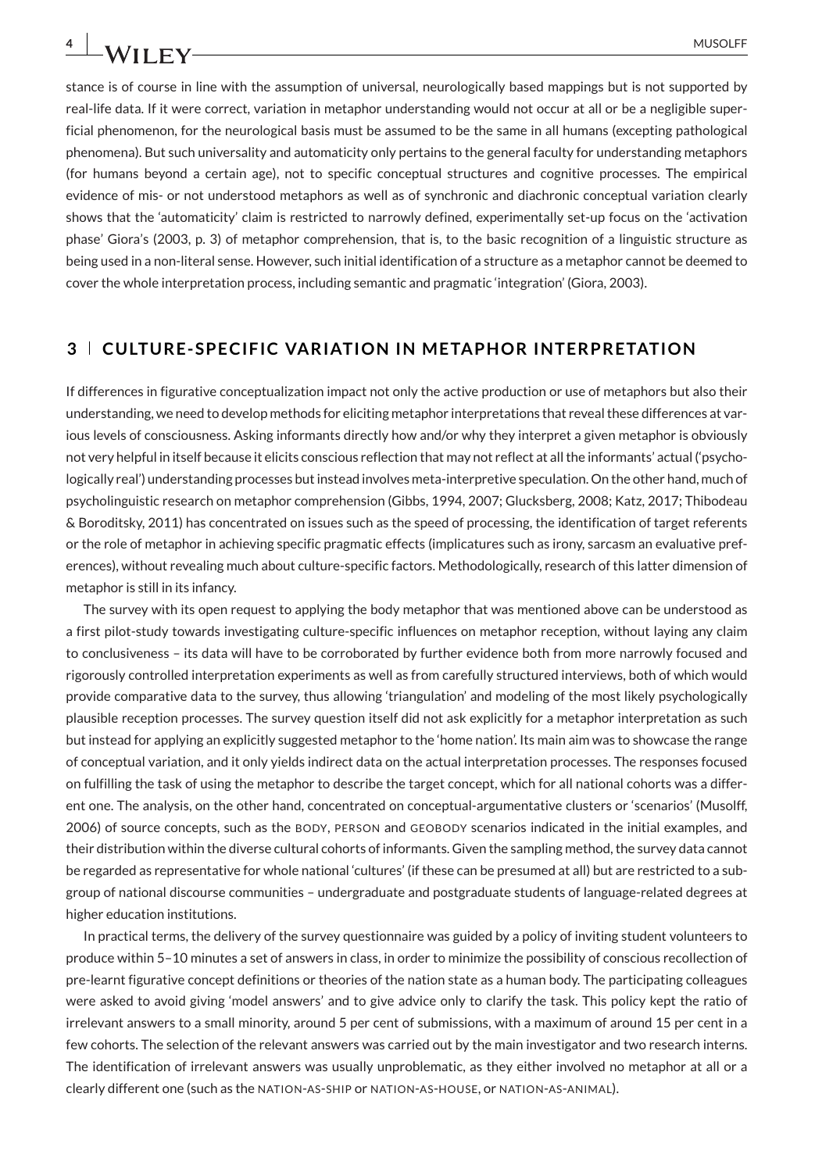stance is of course in line with the assumption of universal, neurologically based mappings but is not supported by real-life data. If it were correct, variation in metaphor understanding would not occur at all or be a negligible superficial phenomenon, for the neurological basis must be assumed to be the same in all humans (excepting pathological phenomena). But such universality and automaticity only pertains to the general faculty for understanding metaphors (for humans beyond a certain age), not to specific conceptual structures and cognitive processes. The empirical evidence of mis- or not understood metaphors as well as of synchronic and diachronic conceptual variation clearly shows that the 'automaticity' claim is restricted to narrowly defined, experimentally set-up focus on the 'activation phase' Giora's (2003, p. 3) of metaphor comprehension, that is, to the basic recognition of a linguistic structure as being used in a non-literal sense. However, such initial identification of a structure as a metaphor cannot be deemed to cover the whole interpretation process, including semantic and pragmatic 'integration' (Giora, 2003).

## **3 CULTURE-SPEC IF IC VAR IAT ION IN METAPHOR INTERPRETAT ION**

If differences in figurative conceptualization impact not only the active production or use of metaphors but also their understanding, we need to develop methods for eliciting metaphor interpretations that reveal these differences at various levels of consciousness. Asking informants directly how and/or why they interpret a given metaphor is obviously not very helpful in itself because it elicits conscious reflection that may not reflect at all the informants' actual ('psychologically real') understanding processes but instead involves meta-interpretive speculation. On the other hand, much of psycholinguistic research on metaphor comprehension (Gibbs, 1994, 2007; Glucksberg, 2008; Katz, 2017; Thibodeau & Boroditsky, 2011) has concentrated on issues such as the speed of processing, the identification of target referents or the role of metaphor in achieving specific pragmatic effects (implicatures such as irony, sarcasm an evaluative preferences), without revealing much about culture-specific factors. Methodologically, research of this latter dimension of metaphor is still in its infancy.

The survey with its open request to applying the body metaphor that was mentioned above can be understood as a first pilot-study towards investigating culture-specific influences on metaphor reception, without laying any claim to conclusiveness – its data will have to be corroborated by further evidence both from more narrowly focused and rigorously controlled interpretation experiments as well as from carefully structured interviews, both of which would provide comparative data to the survey, thus allowing 'triangulation' and modeling of the most likely psychologically plausible reception processes. The survey question itself did not ask explicitly for a metaphor interpretation as such but instead for applying an explicitly suggested metaphor to the 'home nation'. Its main aim was to showcase the range of conceptual variation, and it only yields indirect data on the actual interpretation processes. The responses focused on fulfilling the task of using the metaphor to describe the target concept, which for all national cohorts was a different one. The analysis, on the other hand, concentrated on conceptual-argumentative clusters or 'scenarios' (Musolff, 2006) of source concepts, such as the BODY, PERSON and GEOBODY scenarios indicated in the initial examples, and their distribution within the diverse cultural cohorts of informants. Given the sampling method, the survey data cannot be regarded as representative for whole national 'cultures' (if these can be presumed at all) but are restricted to a subgroup of national discourse communities – undergraduate and postgraduate students of language-related degrees at higher education institutions.

In practical terms, the delivery of the survey questionnaire was guided by a policy of inviting student volunteers to produce within 5–10 minutes a set of answers in class, in order to minimize the possibility of conscious recollection of pre-learnt figurative concept definitions or theories of the nation state as a human body. The participating colleagues were asked to avoid giving 'model answers' and to give advice only to clarify the task. This policy kept the ratio of irrelevant answers to a small minority, around 5 per cent of submissions, with a maximum of around 15 per cent in a few cohorts. The selection of the relevant answers was carried out by the main investigator and two research interns. The identification of irrelevant answers was usually unproblematic, as they either involved no metaphor at all or a clearly different one (such as the NATION-AS-SHIP or NATION-AS-HOUSE, or NATION-AS-ANIMAL).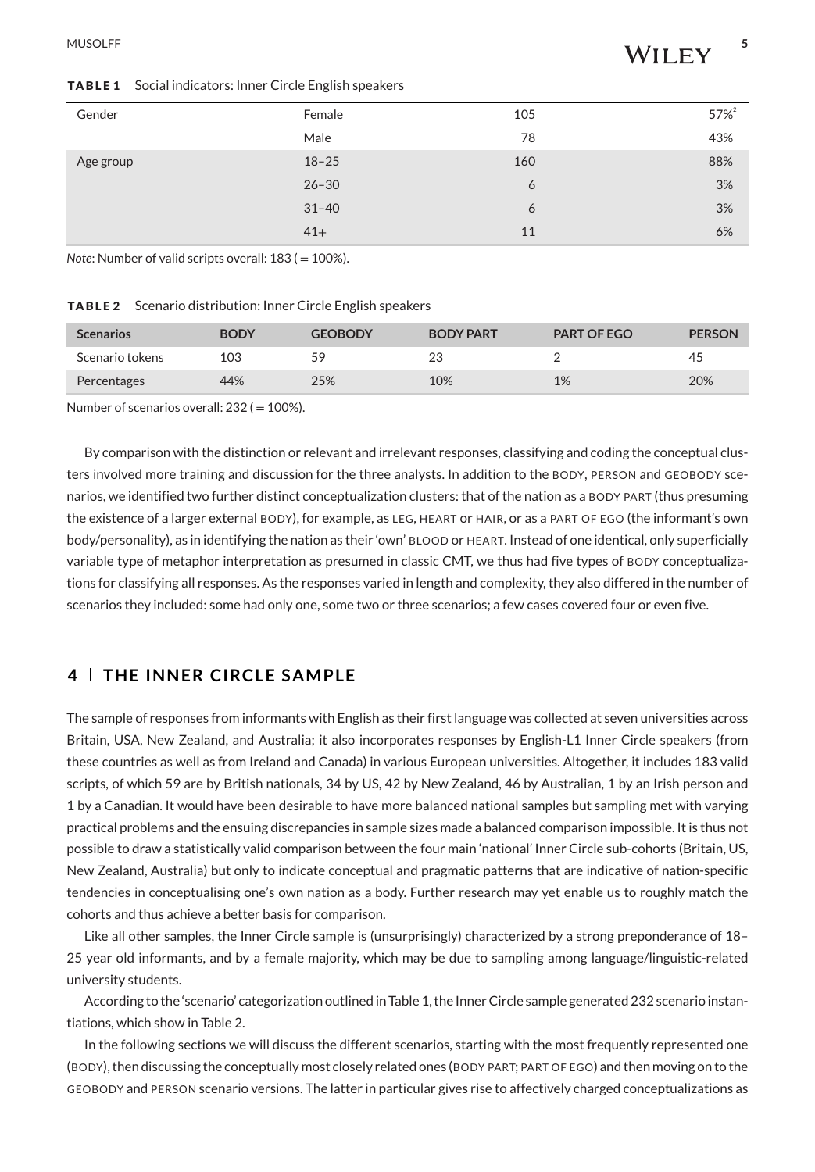#### **TABLE 1** Social indicators: Inner Circle English speakers

| Gender    | Female    | 105 | $57%^{2}$ |
|-----------|-----------|-----|-----------|
|           | Male      | 78  | 43%       |
| Age group | $18 - 25$ | 160 | 88%       |
|           | $26 - 30$ | 6   | 3%        |
|           | $31 - 40$ | 6   | 3%        |
|           | $41+$     | 11  | 6%        |

*Note*: Number of valid scripts overall: 183 (= 100%).

#### **TABLE 2** Scenario distribution: Inner Circle English speakers

| <b>Scenarios</b> | <b>BODY</b> | <b>GEOBODY</b> | <b>BODY PART</b> | <b>PART OF EGO</b> | <b>PERSON</b> |
|------------------|-------------|----------------|------------------|--------------------|---------------|
| Scenario tokens  | 103         | 59             | 23               |                    | 45            |
| Percentages      | 44%         | 25%            | 10%              | 1%                 | 20%           |

Number of scenarios overall:  $232 (= 100\%).$ 

By comparison with the distinction or relevant and irrelevant responses, classifying and coding the conceptual clusters involved more training and discussion for the three analysts. In addition to the BODY, PERSON and GEOBODY scenarios, we identified two further distinct conceptualization clusters: that of the nation as a BODY PART (thus presuming the existence of a larger external BODY), for example, as LEG, HEART or HAIR, or as a PART OF EGO (the informant's own body/personality), as in identifying the nation as their 'own' BLOOD or HEART. Instead of one identical, only superficially variable type of metaphor interpretation as presumed in classic CMT, we thus had five types of BODY conceptualizations for classifying all responses. As the responses varied in length and complexity, they also differed in the number of scenarios they included: some had only one, some two or three scenarios; a few cases covered four or even five.

## **4 THE INNER CIRCLE SAMPLE**

The sample of responses from informants with English as their first language was collected at seven universities across Britain, USA, New Zealand, and Australia; it also incorporates responses by English-L1 Inner Circle speakers (from these countries as well as from Ireland and Canada) in various European universities. Altogether, it includes 183 valid scripts, of which 59 are by British nationals, 34 by US, 42 by New Zealand, 46 by Australian, 1 by an Irish person and 1 by a Canadian. It would have been desirable to have more balanced national samples but sampling met with varying practical problems and the ensuing discrepancies in sample sizes made a balanced comparison impossible. It is thus not possible to draw a statistically valid comparison between the four main 'national' Inner Circle sub-cohorts (Britain, US, New Zealand, Australia) but only to indicate conceptual and pragmatic patterns that are indicative of nation-specific tendencies in conceptualising one's own nation as a body. Further research may yet enable us to roughly match the cohorts and thus achieve a better basis for comparison.

Like all other samples, the Inner Circle sample is (unsurprisingly) characterized by a strong preponderance of 18– 25 year old informants, and by a female majority, which may be due to sampling among language/linguistic-related university students.

According to the 'scenario' categorization outlined in Table 1, the Inner Circle sample generated 232 scenario instantiations, which show in Table 2.

In the following sections we will discuss the different scenarios, starting with the most frequently represented one (BODY), then discussing the conceptually most closely related ones (BODY PART; PART OF EGO) and then moving on to the GEOBODY and PERSON scenario versions. The latter in particular gives rise to affectively charged conceptualizations as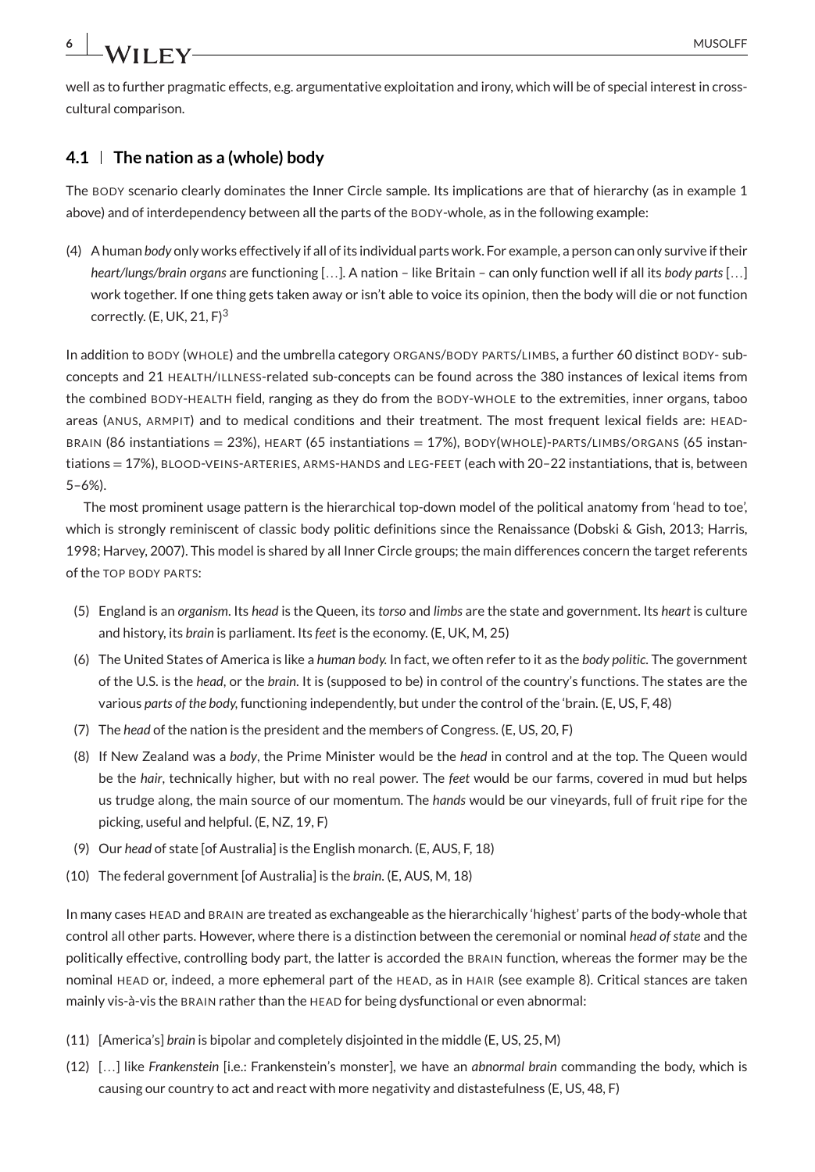well as to further pragmatic effects, e.g. argumentative exploitation and irony, which will be of special interest in crosscultural comparison.

## **4.1 The nation as a (whole) body**

The BODY scenario clearly dominates the Inner Circle sample. Its implications are that of hierarchy (as in example 1 above) and of interdependency between all the parts of the BODY-whole, as in the following example:

(4) A human *body* only works effectively if all of its individual parts work. For example, a person can only survive if their *heart/lungs/brain organs* are functioning […]. A nation – like Britain – can only function well if all its *body parts* […] work together. If one thing gets taken away or isn't able to voice its opinion, then the body will die or not function correctly.  $(E, UK, 21, F)^3$ 

In addition to BODY (WHOLE) and the umbrella category ORGANS/BODY PARTS/LIMBS, a further 60 distinct BODY- subconcepts and 21 HEALTH/ILLNESS-related sub-concepts can be found across the 380 instances of lexical items from the combined BODY-HEALTH field, ranging as they do from the BODY-WHOLE to the extremities, inner organs, taboo areas (ANUS, ARMPIT) and to medical conditions and their treatment. The most frequent lexical fields are: HEAD-BRAIN (86 instantiations = 23%), HEART (65 instantiations = 17%), BODY(WHOLE)-PARTS/LIMBS/ORGANS (65 instantiations = 17%), BLOOD-VEINS-ARTERIES, ARMS-HANDS and LEG-FEET (each with 20–22 instantiations, that is, between 5–6%).

The most prominent usage pattern is the hierarchical top-down model of the political anatomy from 'head to toe', which is strongly reminiscent of classic body politic definitions since the Renaissance (Dobski & Gish, 2013; Harris, 1998; Harvey, 2007). This model is shared by all Inner Circle groups; the main differences concern the target referents of the TOP BODY PARTS:

- (5) England is an *organism*. Its *head* is the Queen, its *torso* and *limbs* are the state and government. Its *heart* is culture and history, its *brain* is parliament. Its *feet* is the economy. (E, UK, M, 25)
- (6) The United States of America is like a *human body.* In fact, we often refer to it as the *body politic*. The government of the U.S. is the *head*, or the *brain*. It is (supposed to be) in control of the country's functions. The states are the various *parts of the body,* functioning independently, but under the control of the 'brain. (E, US, F, 48)
- (7) The *head* of the nation is the president and the members of Congress. (E, US, 20, F)
- (8) If New Zealand was a *body*, the Prime Minister would be the *head* in control and at the top. The Queen would be the *hair*, technically higher, but with no real power. The *feet* would be our farms, covered in mud but helps us trudge along, the main source of our momentum. The *hands* would be our vineyards, full of fruit ripe for the picking, useful and helpful. (E, NZ, 19, F)
- (9) Our *head* of state [of Australia] is the English monarch. (E, AUS, F, 18)
- (10) The federal government [of Australia] is the *brain*. (E, AUS, M, 18)

In many cases HEAD and BRAIN are treated as exchangeable as the hierarchically 'highest' parts of the body-whole that control all other parts. However, where there is a distinction between the ceremonial or nominal *head of state* and the politically effective, controlling body part, the latter is accorded the BRAIN function, whereas the former may be the nominal HEAD or, indeed, a more ephemeral part of the HEAD, as in HAIR (see example 8). Critical stances are taken mainly vis-à-vis the BRAIN rather than the HEAD for being dysfunctional or even abnormal:

- (11) [America's] *brain* is bipolar and completely disjointed in the middle (E, US, 25, M)
- (12) […] like *Frankenstein* [i.e.: Frankenstein's monster], we have an *abnormal brain* commanding the body, which is causing our country to act and react with more negativity and distastefulness (E, US, 48, F)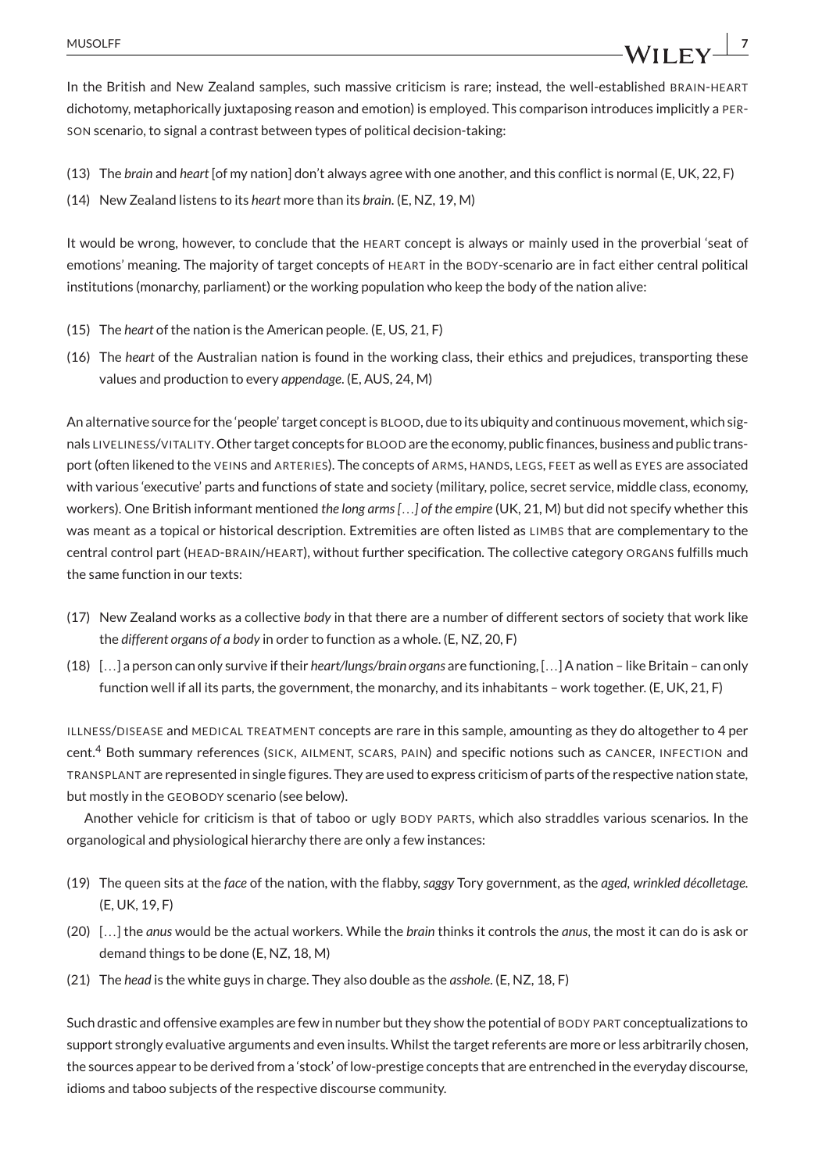In the British and New Zealand samples, such massive criticism is rare; instead, the well-established BRAIN-HEART dichotomy, metaphorically juxtaposing reason and emotion) is employed. This comparison introduces implicitly a PER-SON scenario, to signal a contrast between types of political decision-taking:

- (13) The *brain* and *heart* [of my nation] don't always agree with one another, and this conflict is normal (E, UK, 22, F)
- (14) New Zealand listens to its *heart* more than its *brain*. (E, NZ, 19, M)

It would be wrong, however, to conclude that the HEART concept is always or mainly used in the proverbial 'seat of emotions' meaning. The majority of target concepts of HEART in the BODY-scenario are in fact either central political institutions (monarchy, parliament) or the working population who keep the body of the nation alive:

- (15) The *heart* of the nation is the American people. (E, US, 21, F)
- (16) The *heart* of the Australian nation is found in the working class, their ethics and prejudices, transporting these values and production to every *appendage*. (E, AUS, 24, M)

An alternative source for the 'people' target concept is BLOOD, due to its ubiquity and continuous movement, which signals LIVELINESS/VITALITY. Other target concepts for BLOOD are the economy, public finances, business and public transport (often likened to the VEINS and ARTERIES). The concepts of ARMS, HANDS, LEGS, FEET as well as EYES are associated with various 'executive' parts and functions of state and society (military, police, secret service, middle class, economy, workers). One British informant mentioned *the long arms [*…*] of the empire* (UK, 21, M) but did not specify whether this was meant as a topical or historical description. Extremities are often listed as LIMBS that are complementary to the central control part (HEAD-BRAIN/HEART), without further specification. The collective category ORGANS fulfills much the same function in our texts:

- (17) New Zealand works as a collective *body* in that there are a number of different sectors of society that work like the *different organs of a body* in order to function as a whole. (E, NZ, 20, F)
- (18) […] a person can only survive if their *heart/lungs/brain organs* are functioning, […] A nation like Britain can only function well if all its parts, the government, the monarchy, and its inhabitants – work together. (E, UK, 21, F)

ILLNESS/DISEASE and MEDICAL TREATMENT concepts are rare in this sample, amounting as they do altogether to 4 per cent.<sup>4</sup> Both summary references (SICK, AILMENT, SCARS, PAIN) and specific notions such as CANCER, INFECTION and TRANSPLANT are represented in single figures. They are used to express criticism of parts of the respective nation state, but mostly in the GEOBODY scenario (see below).

Another vehicle for criticism is that of taboo or ugly BODY PARTS, which also straddles various scenarios. In the organological and physiological hierarchy there are only a few instances:

- (19) The queen sits at the *face* of the nation, with the flabby, *saggy* Tory government, as the *aged, wrinkled décolletage.* (E, UK, 19, F)
- (20) […] the *anus* would be the actual workers. While the *brain* thinks it controls the *anus*, the most it can do is ask or demand things to be done (E, NZ, 18, M)
- (21) The *head* is the white guys in charge. They also double as the *asshole*. (E, NZ, 18, F)

Such drastic and offensive examples are few in number but they show the potential of BODY PART conceptualizations to support strongly evaluative arguments and even insults.Whilst the target referents are more or less arbitrarily chosen, the sources appear to be derived from a 'stock' of low-prestige concepts that are entrenched in the everyday discourse, idioms and taboo subjects of the respective discourse community.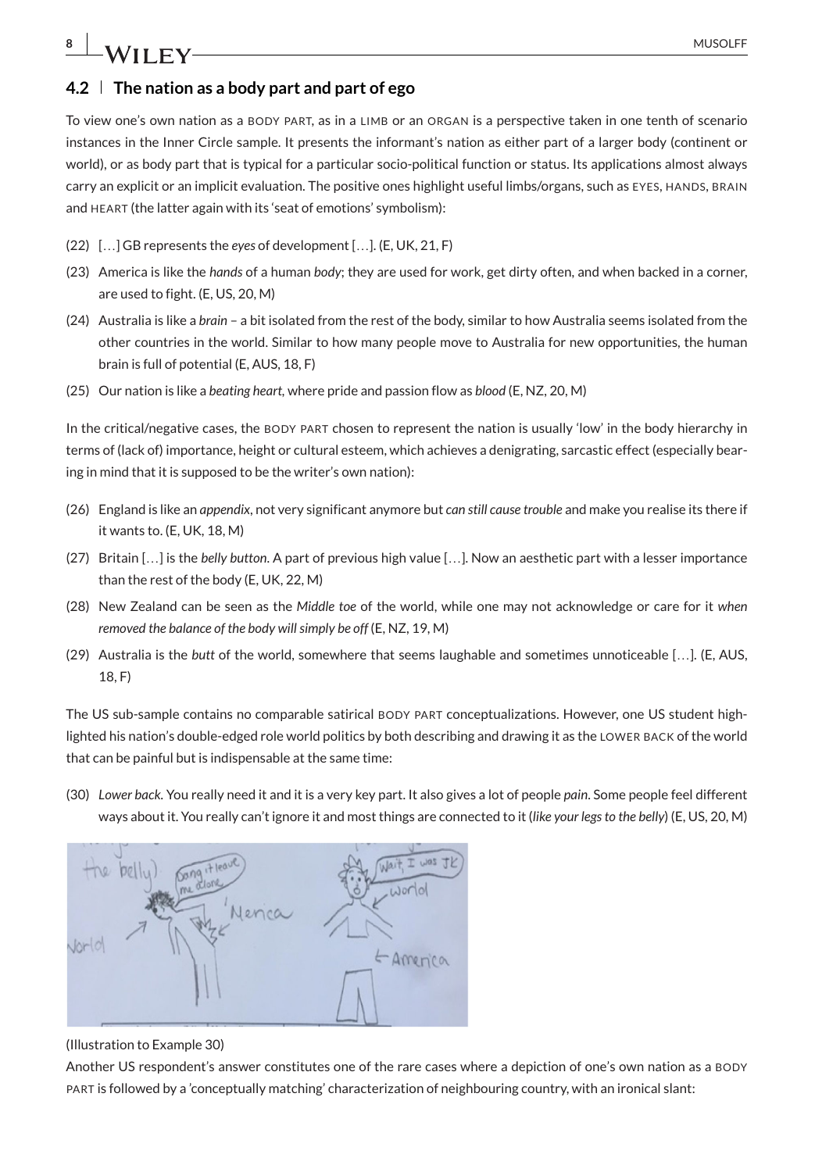## **4.2 The nation as a body part and part of ego**

To view one's own nation as a BODY PART, as in a LIMB or an ORGAN is a perspective taken in one tenth of scenario instances in the Inner Circle sample. It presents the informant's nation as either part of a larger body (continent or world), or as body part that is typical for a particular socio-political function or status. Its applications almost always carry an explicit or an implicit evaluation. The positive ones highlight useful limbs/organs, such as EYES, HANDS, BRAIN and HEART (the latter again with its 'seat of emotions' symbolism):

- (22) […] GB represents the *eyes* of development […]. (E, UK, 21, F)
- (23) America is like the *hands* of a human *body*; they are used for work, get dirty often, and when backed in a corner, are used to fight. (E, US, 20, M)
- (24) Australia is like a *brain* a bit isolated from the rest of the body, similar to how Australia seems isolated from the other countries in the world. Similar to how many people move to Australia for new opportunities, the human brain is full of potential (E, AUS, 18, F)
- (25) Our nation is like a *beating heart,* where pride and passion flow as *blood* (E, NZ, 20, M)

In the critical/negative cases, the BODY PART chosen to represent the nation is usually 'low' in the body hierarchy in terms of (lack of) importance, height or cultural esteem, which achieves a denigrating, sarcastic effect (especially bearing in mind that it is supposed to be the writer's own nation):

- (26) England is like an *appendix*, not very significant anymore but *can still cause trouble* and make you realise its there if it wants to. (E, UK, 18, M)
- (27) Britain […] is the *belly button*. A part of previous high value […]. Now an aesthetic part with a lesser importance than the rest of the body (E, UK, 22, M)
- (28) New Zealand can be seen as the *Middle toe* of the world, while one may not acknowledge or care for it *when removed the balance of the body will simply be off* (E, NZ, 19, M)
- (29) Australia is the *butt* of the world, somewhere that seems laughable and sometimes unnoticeable […]. (E, AUS, 18, F)

The US sub-sample contains no comparable satirical BODY PART conceptualizations. However, one US student highlighted his nation's double-edged role world politics by both describing and drawing it as the LOWER BACK of the world that can be painful but is indispensable at the same time:

(30) *Lower back.* You really need it and it is a very key part. It also gives a lot of people *pain*. Some people feel different ways about it. You really can't ignore it and most things are connected to it (*like your legs to the belly*) (E, US, 20, M)



#### (Illustration to Example 30)

Another US respondent's answer constitutes one of the rare cases where a depiction of one's own nation as a BODY PART is followed by a 'conceptually matching' characterization of neighbouring country, with an ironical slant: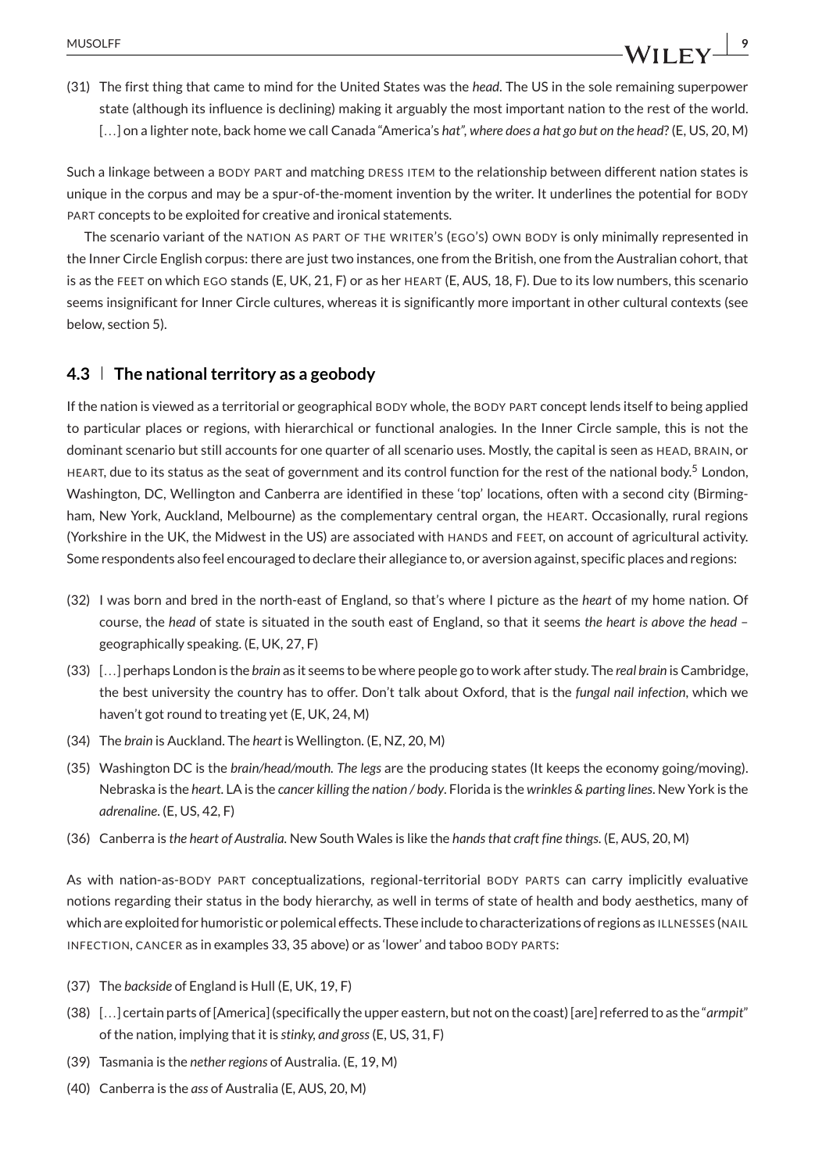(31) The first thing that came to mind for the United States was the *head*. The US in the sole remaining superpower state (although its influence is declining) making it arguably the most important nation to the rest of the world. […] on a lighter note, back home we call Canada "America's *hat", where does a hat go but on the head*? (E, US, 20, M)

Such a linkage between a BODY PART and matching DRESS ITEM to the relationship between different nation states is unique in the corpus and may be a spur-of-the-moment invention by the writer. It underlines the potential for BODY PART concepts to be exploited for creative and ironical statements.

The scenario variant of the NATION AS PART OF THE WRITER'S (EGO'S) OWN BODY is only minimally represented in the Inner Circle English corpus: there are just two instances, one from the British, one from the Australian cohort, that is as the FEET on which EGO stands (E, UK, 21, F) or as her HEART (E, AUS, 18, F). Due to its low numbers, this scenario seems insignificant for Inner Circle cultures, whereas it is significantly more important in other cultural contexts (see below, section 5).

#### **4.3 The national territory as a geobody**

If the nation is viewed as a territorial or geographical BODY whole, the BODY PART concept lends itself to being applied to particular places or regions, with hierarchical or functional analogies. In the Inner Circle sample, this is not the dominant scenario but still accounts for one quarter of all scenario uses. Mostly, the capital is seen as HEAD, BRAIN, or HEART, due to its status as the seat of government and its control function for the rest of the national body.<sup>5</sup> London, Washington, DC, Wellington and Canberra are identified in these 'top' locations, often with a second city (Birmingham, New York, Auckland, Melbourne) as the complementary central organ, the HEART. Occasionally, rural regions (Yorkshire in the UK, the Midwest in the US) are associated with HANDS and FEET, on account of agricultural activity. Some respondents also feel encouraged to declare their allegiance to, or aversion against, specific places and regions:

- (32) I was born and bred in the north-east of England, so that's where I picture as the *heart* of my home nation. Of course, the *head* of state is situated in the south east of England, so that it seems *the heart is above the head* – geographically speaking. (E, UK, 27, F)
- (33) […] perhaps London is the *brain* as it seems to be where people go to work after study. The *real brain* is Cambridge, the best university the country has to offer. Don't talk about Oxford, that is the *fungal nail infection*, which we haven't got round to treating yet (E, UK, 24, M)
- (34) The *brain* is Auckland. The *heart* is Wellington. (E, NZ, 20, M)
- (35) Washington DC is the *brain/head/mouth. The legs* are the producing states (It keeps the economy going/moving). Nebraska is the *heart*. LA is the *cancer killing the nation / body*. Florida is the *wrinkles & parting lines*. New York is the *adrenaline*. (E, US, 42, F)
- (36) Canberra is *the heart of Australia.* New South Wales is like the *hands that craft fine things*. (E, AUS, 20, M)

As with nation-as-BODY PART conceptualizations, regional-territorial BODY PARTS can carry implicitly evaluative notions regarding their status in the body hierarchy, as well in terms of state of health and body aesthetics, many of which are exploited for humoristic or polemical effects. These include to characterizations of regions as ILLNESSES (NAIL INFECTION, CANCER as in examples 33, 35 above) or as 'lower' and taboo BODY PARTS:

- (37) The *backside* of England is Hull (E, UK, 19, F)
- (38) […] certain parts of [America] (specifically the upper eastern, but not on the coast) [are] referred to as the "*armpit*" of the nation, implying that it is *stinky, and gross*(E, US, 31, F)
- (39) Tasmania is the *nether regions* of Australia. (E, 19, M)
- (40) Canberra is the *ass* of Australia (E, AUS, 20, M)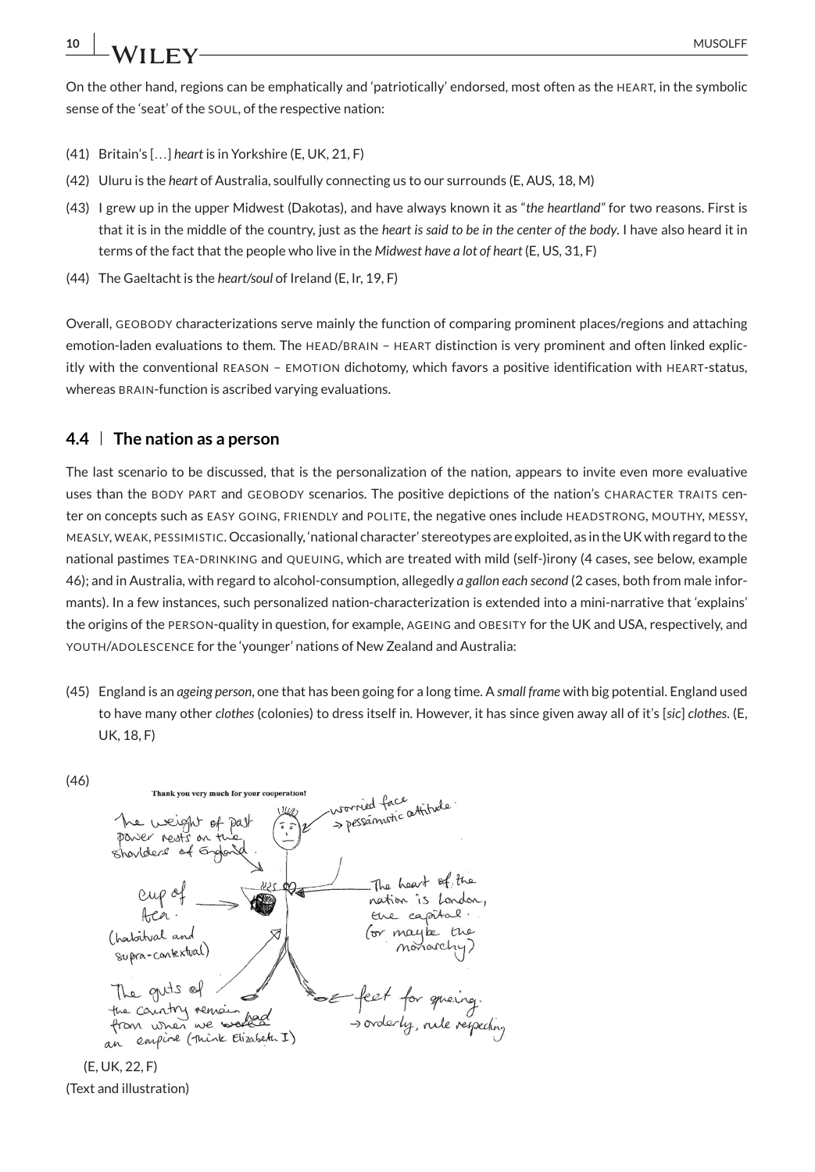On the other hand, regions can be emphatically and 'patriotically' endorsed, most often as the HEART, in the symbolic sense of the 'seat' of the SOUL, of the respective nation:

- (41) Britain's […] *heart* is in Yorkshire (E, UK, 21, F)
- (42) Uluru is the *heart* of Australia, soulfully connecting us to our surrounds (E, AUS, 18, M)
- (43) I grew up in the upper Midwest (Dakotas), and have always known it as "*the heartland"* for two reasons. First is that it is in the middle of the country, just as the *heart is said to be in the center of the body*. I have also heard it in terms of the fact that the people who live in the *Midwest have a lot of heart* (E, US, 31, F)
- (44) The Gaeltacht is the *heart/soul* of Ireland (E, Ir, 19, F)

Overall, GEOBODY characterizations serve mainly the function of comparing prominent places/regions and attaching emotion-laden evaluations to them. The HEAD/BRAIN – HEART distinction is very prominent and often linked explicitly with the conventional REASON – EMOTION dichotomy, which favors a positive identification with HEART-status, whereas BRAIN-function is ascribed varying evaluations.

#### **4.4 The nation as a person**

The last scenario to be discussed, that is the personalization of the nation, appears to invite even more evaluative uses than the BODY PART and GEOBODY scenarios. The positive depictions of the nation's CHARACTER TRAITS center on concepts such as EASY GOING, FRIENDLY and POLITE, the negative ones include HEADSTRONG, MOUTHY, MESSY, MEASLY, WEAK, PESSIMISTIC. Occasionally, 'national character' stereotypes are exploited, as in the UK with regard to the national pastimes TEA-DRINKING and QUEUING, which are treated with mild (self-)irony (4 cases, see below, example 46); and in Australia, with regard to alcohol-consumption, allegedly *a gallon each second* (2 cases, both from male informants). In a few instances, such personalized nation-characterization is extended into a mini-narrative that 'explains' the origins of the PERSON-quality in question, for example, AGEING and OBESITY for the UK and USA, respectively, and YOUTH/ADOLESCENCE for the 'younger' nations of New Zealand and Australia:

(45) England is an *ageing person*, one that has been going for a long time. A *small frame* with big potential. England used to have many other *clothes* (colonies) to dress itself in. However, it has since given away all of it's [*sic*] *clothes*. (E, UK, 18, F)



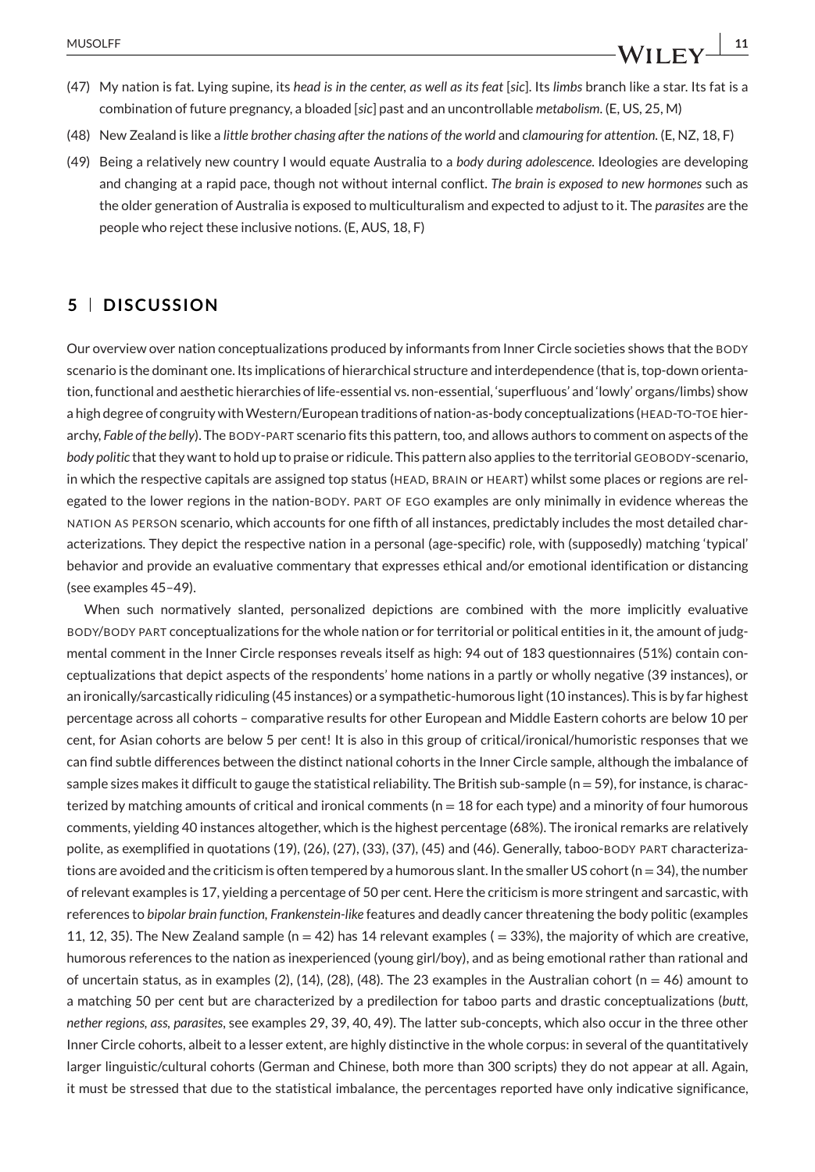- (47) My nation is fat. Lying supine, its *head is in the center, as well as its feat* [*sic*]. Its *limbs* branch like a star. Its fat is a combination of future pregnancy, a bloaded [*sic*] past and an uncontrollable *metabolism*. (E, US, 25, M)
- (48) New Zealand is like a *little brother chasing after the nations of the world* and *clamouring for attention*. (E, NZ, 18, F)
- (49) Being a relatively new country I would equate Australia to a *body during adolescence*. Ideologies are developing and changing at a rapid pace, though not without internal conflict. *The brain is exposed to new hormones* such as the older generation of Australia is exposed to multiculturalism and expected to adjust to it. The *parasites* are the people who reject these inclusive notions. (E, AUS, 18, F)

#### **5 DISCUSSION**

Our overview over nation conceptualizations produced by informants from Inner Circle societies shows that the BODY scenario is the dominant one. Its implications of hierarchical structure and interdependence (that is, top-down orientation, functional and aesthetic hierarchies of life-essential vs. non-essential, 'superfluous' and 'lowly' organs/limbs) show a high degree of congruity with Western/European traditions of nation-as-body conceptualizations (HEAD-TO-TOE hierarchy, *Fable of the belly*). The BODY-PART scenario fits this pattern, too, and allows authors to comment on aspects of the *body politic* that they want to hold up to praise or ridicule. This pattern also applies to the territorial GEOBODY-scenario, in which the respective capitals are assigned top status (HEAD, BRAIN or HEART) whilst some places or regions are relegated to the lower regions in the nation-BODY. PART OF EGO examples are only minimally in evidence whereas the NATION AS PERSON scenario, which accounts for one fifth of all instances, predictably includes the most detailed characterizations. They depict the respective nation in a personal (age-specific) role, with (supposedly) matching 'typical' behavior and provide an evaluative commentary that expresses ethical and/or emotional identification or distancing (see examples 45–49).

When such normatively slanted, personalized depictions are combined with the more implicitly evaluative BODY/BODY PART conceptualizations for the whole nation or for territorial or political entities in it, the amount of judgmental comment in the Inner Circle responses reveals itself as high: 94 out of 183 questionnaires (51%) contain conceptualizations that depict aspects of the respondents' home nations in a partly or wholly negative (39 instances), or an ironically/sarcastically ridiculing (45 instances) or a sympathetic-humorous light (10 instances). This is by far highest percentage across all cohorts – comparative results for other European and Middle Eastern cohorts are below 10 per cent, for Asian cohorts are below 5 per cent! It is also in this group of critical/ironical/humoristic responses that we can find subtle differences between the distinct national cohorts in the Inner Circle sample, although the imbalance of sample sizes makes it difficult to gauge the statistical reliability. The British sub-sample (n = 59), for instance, is characterized by matching amounts of critical and ironical comments ( $n = 18$  for each type) and a minority of four humorous comments, yielding 40 instances altogether, which is the highest percentage (68%). The ironical remarks are relatively polite, as exemplified in quotations (19), (26), (27), (33), (37), (45) and (46). Generally, taboo-BODY PART characterizations are avoided and the criticism is often tempered by a humorous slant. In the smaller US cohort ( $n=34$ ), the number of relevant examples is 17, yielding a percentage of 50 per cent. Here the criticism is more stringent and sarcastic, with references to *bipolar brain function, Frankenstein-like* features and deadly cancer threatening the body politic (examples 11, 12, 35). The New Zealand sample ( $n = 42$ ) has 14 relevant examples ( $= 33\%$ ), the majority of which are creative, humorous references to the nation as inexperienced (young girl/boy), and as being emotional rather than rational and of uncertain status, as in examples (2), (14), (28), (48). The 23 examples in the Australian cohort ( $n = 46$ ) amount to a matching 50 per cent but are characterized by a predilection for taboo parts and drastic conceptualizations (*butt, nether regions, ass, parasites*, see examples 29, 39, 40, 49). The latter sub-concepts, which also occur in the three other Inner Circle cohorts, albeit to a lesser extent, are highly distinctive in the whole corpus: in several of the quantitatively larger linguistic/cultural cohorts (German and Chinese, both more than 300 scripts) they do not appear at all. Again, it must be stressed that due to the statistical imbalance, the percentages reported have only indicative significance,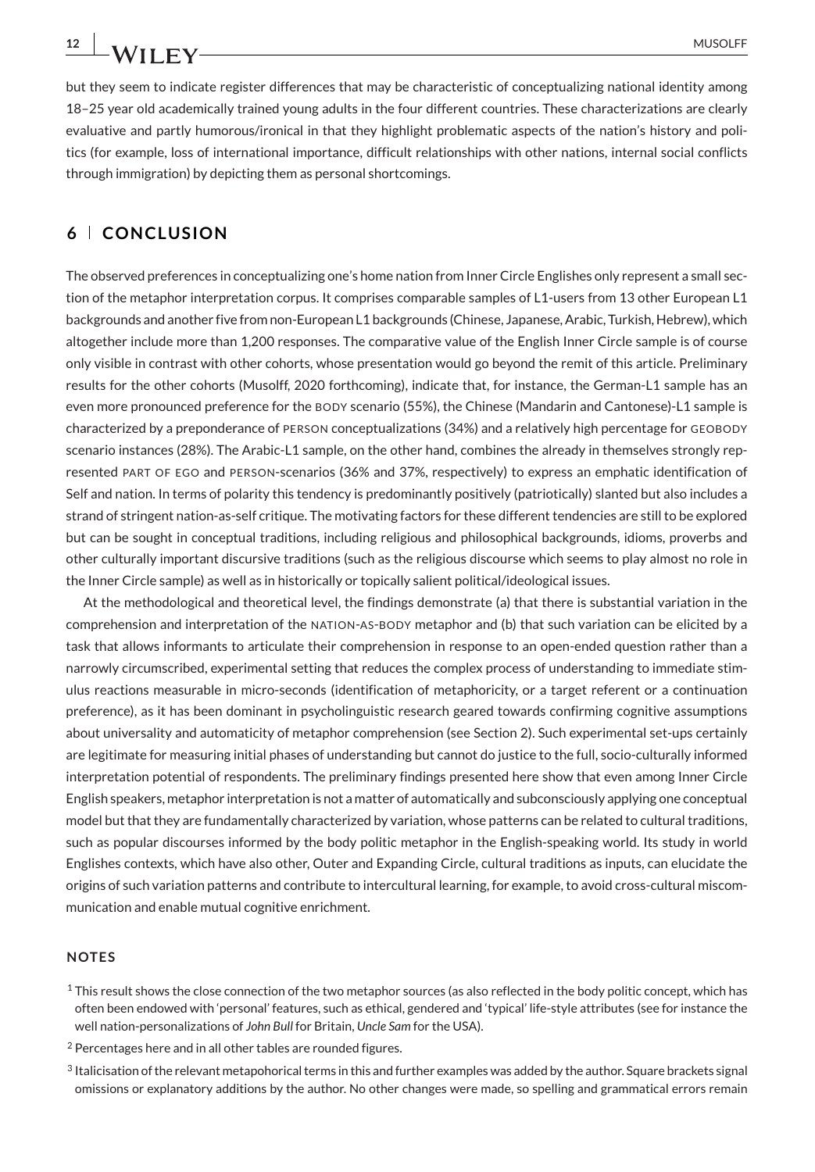but they seem to indicate register differences that may be characteristic of conceptualizing national identity among 18–25 year old academically trained young adults in the four different countries. These characterizations are clearly evaluative and partly humorous/ironical in that they highlight problematic aspects of the nation's history and politics (for example, loss of international importance, difficult relationships with other nations, internal social conflicts through immigration) by depicting them as personal shortcomings.

## **6 CONCLUSION**

The observed preferences in conceptualizing one's home nation from Inner Circle Englishes only represent a small section of the metaphor interpretation corpus. It comprises comparable samples of L1-users from 13 other European L1 backgrounds and another five from non-European L1 backgrounds (Chinese, Japanese, Arabic, Turkish, Hebrew), which altogether include more than 1,200 responses. The comparative value of the English Inner Circle sample is of course only visible in contrast with other cohorts, whose presentation would go beyond the remit of this article. Preliminary results for the other cohorts (Musolff, 2020 forthcoming), indicate that, for instance, the German-L1 sample has an even more pronounced preference for the BODY scenario (55%), the Chinese (Mandarin and Cantonese)-L1 sample is characterized by a preponderance of PERSON conceptualizations (34%) and a relatively high percentage for GEOBODY scenario instances (28%). The Arabic-L1 sample, on the other hand, combines the already in themselves strongly represented PART OF EGO and PERSON-scenarios (36% and 37%, respectively) to express an emphatic identification of Self and nation. In terms of polarity this tendency is predominantly positively (patriotically) slanted but also includes a strand of stringent nation-as-self critique. The motivating factors for these different tendencies are still to be explored but can be sought in conceptual traditions, including religious and philosophical backgrounds, idioms, proverbs and other culturally important discursive traditions (such as the religious discourse which seems to play almost no role in the Inner Circle sample) as well as in historically or topically salient political/ideological issues.

At the methodological and theoretical level, the findings demonstrate (a) that there is substantial variation in the comprehension and interpretation of the NATION-AS-BODY metaphor and (b) that such variation can be elicited by a task that allows informants to articulate their comprehension in response to an open-ended question rather than a narrowly circumscribed, experimental setting that reduces the complex process of understanding to immediate stimulus reactions measurable in micro-seconds (identification of metaphoricity, or a target referent or a continuation preference), as it has been dominant in psycholinguistic research geared towards confirming cognitive assumptions about universality and automaticity of metaphor comprehension (see Section 2). Such experimental set-ups certainly are legitimate for measuring initial phases of understanding but cannot do justice to the full, socio-culturally informed interpretation potential of respondents. The preliminary findings presented here show that even among Inner Circle English speakers, metaphor interpretation is not a matter of automatically and subconsciously applying one conceptual model but that they are fundamentally characterized by variation, whose patterns can be related to cultural traditions, such as popular discourses informed by the body politic metaphor in the English-speaking world. Its study in world Englishes contexts, which have also other, Outer and Expanding Circle, cultural traditions as inputs, can elucidate the origins of such variation patterns and contribute to intercultural learning, for example, to avoid cross-cultural miscommunication and enable mutual cognitive enrichment.

#### **NOTES**

 $1$  This result shows the close connection of the two metaphor sources (as also reflected in the body politic concept, which has often been endowed with 'personal' features, such as ethical, gendered and 'typical' life-style attributes (see for instance the well nation-personalizations of *John Bull* for Britain, *Uncle Sam* for the USA).

<sup>2</sup> Percentages here and in all other tables are rounded figures.

<sup>3</sup> Italicisation of the relevant metapohorical terms in this and further examples was added by the author. Square brackets signal omissions or explanatory additions by the author. No other changes were made, so spelling and grammatical errors remain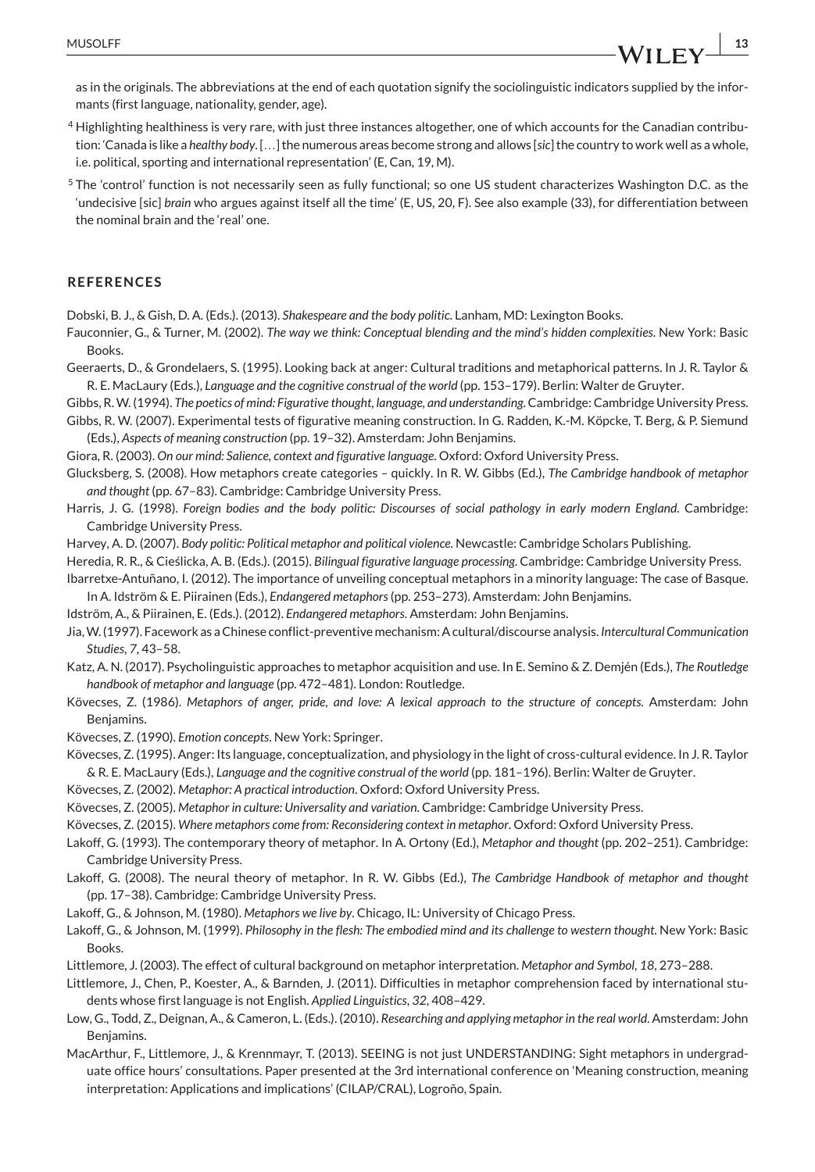as in the originals. The abbreviations at the end of each quotation signify the sociolinguistic indicators supplied by the informants (first language, nationality, gender, age).

<sup>4</sup> Highlighting healthiness is very rare, with just three instances altogether, one of which accounts for the Canadian contribution: 'Canada is like a *healthy body*. […] the numerous areas become strong and allows [*sic*] the country to work well as a whole, i.e. political, sporting and international representation' (E, Can, 19, M).

<sup>5</sup> The 'control' function is not necessarily seen as fully functional; so one US student characterizes Washington D.C. as the 'undecisive [sic] *brain* who argues against itself all the time' (E, US, 20, F). See also example (33), for differentiation between the nominal brain and the 'real' one.

#### **REFERENCES**

Dobski, B. J., & Gish, D. A. (Eds.). (2013). *Shakespeare and the body politic*. Lanham, MD: Lexington Books.

Fauconnier, G., & Turner, M. (2002). *The way we think: Conceptual blending and the mind's hidden complexities*. New York: Basic Books.

Geeraerts, D., & Grondelaers, S. (1995). Looking back at anger: Cultural traditions and metaphorical patterns. In J. R. Taylor & R. E. MacLaury (Eds.), *Language and the cognitive construal of the world* (pp. 153–179). Berlin: Walter de Gruyter.

Gibbs, R.W. (1994). *The poetics of mind: Figurative thought, language, and understanding*. Cambridge: Cambridge University Press. Gibbs, R. W. (2007). Experimental tests of figurative meaning construction. In G. Radden, K.-M. Köpcke, T. Berg, & P. Siemund (Eds.), *Aspects of meaning construction* (pp. 19–32). Amsterdam: John Benjamins.

Giora, R. (2003). *On our mind: Salience, context and figurative language*. Oxford: Oxford University Press.

Glucksberg, S. (2008). How metaphors create categories – quickly. In R. W. Gibbs (Ed.), *The Cambridge handbook of metaphor and thought* (pp. 67–83). Cambridge: Cambridge University Press.

Harris, J. G. (1998). *Foreign bodies and the body politic: Discourses of social pathology in early modern England*. Cambridge: Cambridge University Press.

Harvey, A. D. (2007). *Body politic: Political metaphor and political violence*. Newcastle: Cambridge Scholars Publishing.

Heredia, R. R., & Cieślicka, A. B. (Eds.). (2015). *Bilingual figurative language processing*. Cambridge: Cambridge University Press.

Ibarretxe-Antuñano, I. (2012). The importance of unveiling conceptual metaphors in a minority language: The case of Basque.

In A. Idström & E. Piirainen (Eds.), *Endangered metaphors*(pp. 253–273). Amsterdam: John Benjamins.

Idström, A., & Piirainen, E. (Eds.). (2012). *Endangered metaphors*. Amsterdam: John Benjamins.

Jia,W. (1997). Facework as a Chinese conflict-preventive mechanism: A cultural/discourse analysis. *Intercultural Communication Studies*, *7*, 43–58.

Katz, A. N. (2017). Psycholinguistic approaches to metaphor acquisition and use. In E. Semino & Z. Demjén (Eds.), *The Routledge handbook of metaphor and language* (pp. 472–481). London: Routledge.

Kövecses, Z. (1986). *Metaphors of anger, pride, and love: A lexical approach to the structure of concepts*. Amsterdam: John Benjamins.

Kövecses, Z. (1990). *Emotion concepts*. New York: Springer.

Kövecses, Z. (1995). Anger: Its language, conceptualization, and physiology in the light of cross-cultural evidence. In J. R. Taylor & R. E. MacLaury (Eds.), *Language and the cognitive construal of the world* (pp. 181–196). Berlin: Walter de Gruyter.

Kövecses, Z. (2002). *Metaphor: A practical introduction*. Oxford: Oxford University Press.

Kövecses, Z. (2005). *Metaphor in culture: Universality and variation*. Cambridge: Cambridge University Press.

Kövecses, Z. (2015). *Where metaphors come from: Reconsidering context in metaphor*. Oxford: Oxford University Press.

Lakoff, G. (1993). The contemporary theory of metaphor. In A. Ortony (Ed.), *Metaphor and thought* (pp. 202–251). Cambridge: Cambridge University Press.

Lakoff, G. (2008). The neural theory of metaphor. In R. W. Gibbs (Ed.), *The Cambridge Handbook of metaphor and thought* (pp. 17–38). Cambridge: Cambridge University Press.

Lakoff, G., & Johnson, M. (1980). *Metaphors we live by*. Chicago, IL: University of Chicago Press.

Lakoff, G., & Johnson, M. (1999). *Philosophy in the flesh: The embodied mind and its challenge to western thought*. New York: Basic Books.

Littlemore, J. (2003). The effect of cultural background on metaphor interpretation. *Metaphor and Symbol*, *18*, 273–288.

Littlemore, J., Chen, P., Koester, A., & Barnden, J. (2011). Difficulties in metaphor comprehension faced by international students whose first language is not English. *Applied Linguistics*, *32*, 408–429.

Low, G., Todd, Z., Deignan, A., & Cameron, L. (Eds.). (2010). *Researching and applying metaphor in the real world*. Amsterdam: John Benjamins.

MacArthur, F., Littlemore, J., & Krennmayr, T. (2013). SEEING is not just UNDERSTANDING: Sight metaphors in undergraduate office hours' consultations. Paper presented at the 3rd international conference on 'Meaning construction, meaning interpretation: Applications and implications' (CILAP/CRAL), Logroño, Spain.